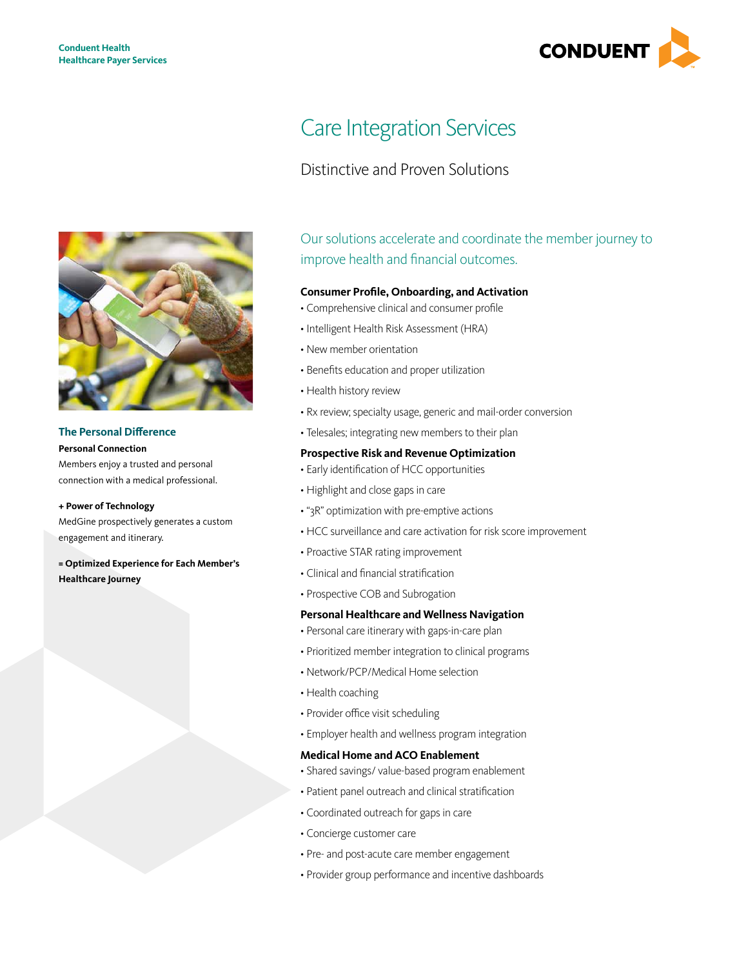

# **The Personal Difference**

**Personal Connection**

Members enjoy a trusted and personal connection with a medical professional.

#### **+ Power of Technology**

MedGine prospectively generates a custom engagement and itinerary.

# **= Optimized Experience for Each Member's Healthcare Journey**

# Care Integration Services

# Distinctive and Proven Solutions

Our solutions accelerate and coordinate the member journey to improve health and financial outcomes.

### **Consumer Profile, Onboarding, and Activation**

- • Comprehensive clinical and consumer profile
- • Intelligent Health Risk Assessment (HRA)
- New member orientation
- • Benefits education and proper utilization
- Health history review
- Rx review; specialty usage, generic and mail-order conversion
- Telesales; integrating new members to their plan

### **Prospective Risk and Revenue Optimization**

- Early identification of HCC opportunities
- Highlight and close gaps in care
- • "3R" optimization with pre-emptive actions
- HCC surveillance and care activation for risk score improvement
- Proactive STAR rating improvement
- • Clinical and financial stratification
- Prospective COB and Subrogation

# **Personal Healthcare and Wellness Navigation**

- • Personal care itinerary with gaps-in-care plan
- • Prioritized member integration to clinical programs
- Network/PCP/Medical Home selection
- Health coaching
- Provider office visit scheduling
- Employer health and wellness program integration

# **Medical Home and ACO Enablement**

- Shared savings/ value-based program enablement
- Patient panel outreach and clinical stratification
- • Coordinated outreach for gaps in care
- • Concierge customer care
- Pre- and post-acute care member engagement
- • Provider group performance and incentive dashboards